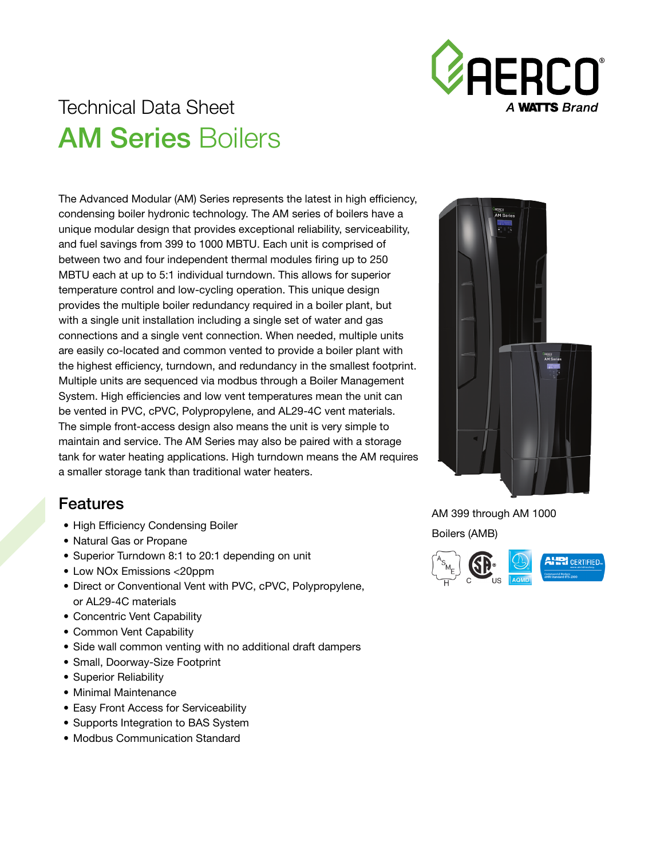

# Technical Data Sheet **AM Series Boilers**

The Advanced Modular (AM) Series represents the latest in high efficiency, condensing boiler hydronic technology. The AM series of boilers have a unique modular design that provides exceptional reliability, serviceability, and fuel savings from 399 to 1000 MBTU. Each unit is comprised of between two and four independent thermal modules firing up to 250 MBTU each at up to 5:1 individual turndown. This allows for superior temperature control and low-cycling operation. This unique design provides the multiple boiler redundancy required in a boiler plant, but with a single unit installation including a single set of water and gas connections and a single vent connection. When needed, multiple units are easily co-located and common vented to provide a boiler plant with the highest efficiency, turndown, and redundancy in the smallest footprint. Multiple units are sequenced via modbus through a Boiler Management System. High efficiencies and low vent temperatures mean the unit can be vented in PVC, cPVC, Polypropylene, and AL29-4C vent materials. The simple front-access design also means the unit is very simple to maintain and service. The AM Series may also be paired with a storage tank for water heating applications. High turndown means the AM requires a smaller storage tank than traditional water heaters.

#### Features

- High Efficiency Condensing Boiler
- Natural Gas or Propane
- Superior Turndown 8:1 to 20:1 depending on unit
- Low NOx Emissions <20ppm
- Direct or Conventional Vent with PVC, cPVC, Polypropylene, or AL29-4C materials
- Concentric Vent Capability
- Common Vent Capability
- Side wall common venting with no additional draft dampers
- Small, Doorway-Size Footprint
- Superior Reliability
- Minimal Maintenance
- Easy Front Access for Serviceability
- Supports Integration to BAS System
- Modbus Communication Standard



AM 399 through AM 1000 Boilers (AMB)

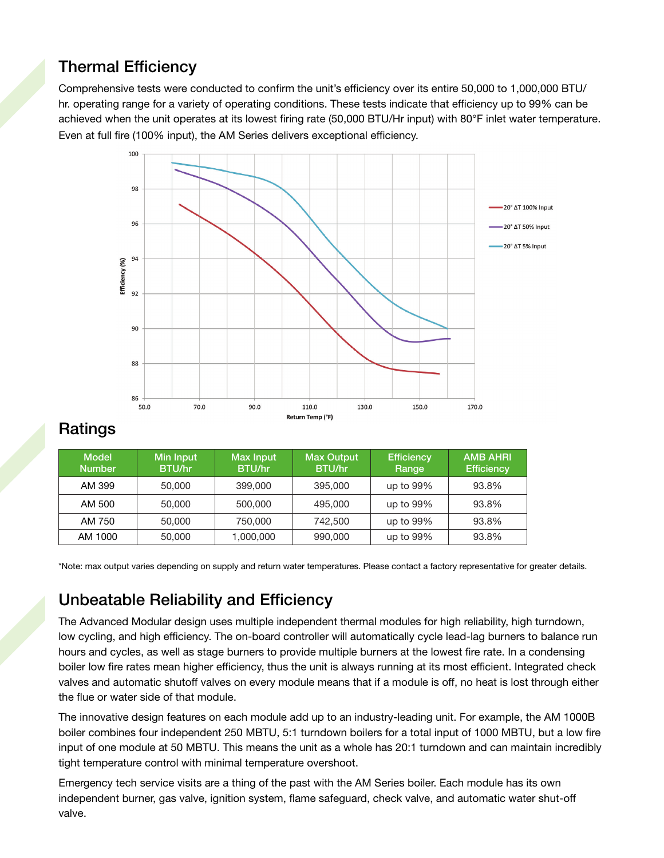# Thermal Efficiency

Comprehensive tests were conducted to confirm the unit's efficiency over its entire 50,000 to 1,000,000 BTU/ hr. operating range for a variety of operating conditions. These tests indicate that efficiency up to 99% can be achieved when the unit operates at its lowest firing rate (50,000 BTU/Hr input) with 80°F inlet water temperature. Even at full fire (100% input), the AM Series delivers exceptional efficiency.



#### **Ratings**

| <b>Model</b><br><b>Number</b> | Min Input<br><b>BTU/hr</b> | Max Input<br><b>BTU/hr</b> | <b>Max Output</b><br>BTU/hr | <b>Efficiency</b><br>Range | <b>AMB AHRI</b><br><b>Efficiency</b> |
|-------------------------------|----------------------------|----------------------------|-----------------------------|----------------------------|--------------------------------------|
| AM 399                        | 50,000                     | 399,000                    | 395,000                     | up to 99%                  | 93.8%                                |
| AM 500                        | 50,000                     | 500,000                    | 495,000                     | up to 99%                  | 93.8%                                |
| AM 750                        | 50,000                     | 750,000                    | 742,500                     | up to 99%                  | 93.8%                                |
| AM 1000                       | 50,000                     | 1,000,000                  | 990,000                     | up to 99%                  | 93.8%                                |

\*Note: max output varies depending on supply and return water temperatures. Please contact a factory representative for greater details.

## Unbeatable Reliability and Efficiency

The Advanced Modular design uses multiple independent thermal modules for high reliability, high turndown, low cycling, and high efficiency. The on-board controller will automatically cycle lead-lag burners to balance run hours and cycles, as well as stage burners to provide multiple burners at the lowest fire rate. In a condensing boiler low fire rates mean higher efficiency, thus the unit is always running at its most efficient. Integrated check valves and automatic shutoff valves on every module means that if a module is off, no heat is lost through either the flue or water side of that module.

The innovative design features on each module add up to an industry-leading unit. For example, the AM 1000B boiler combines four independent 250 MBTU, 5:1 turndown boilers for a total input of 1000 MBTU, but a low fire input of one module at 50 MBTU. This means the unit as a whole has 20:1 turndown and can maintain incredibly tight temperature control with minimal temperature overshoot.

Emergency tech service visits are a thing of the past with the AM Series boiler. Each module has its own independent burner, gas valve, ignition system, flame safeguard, check valve, and automatic water shut-off valve.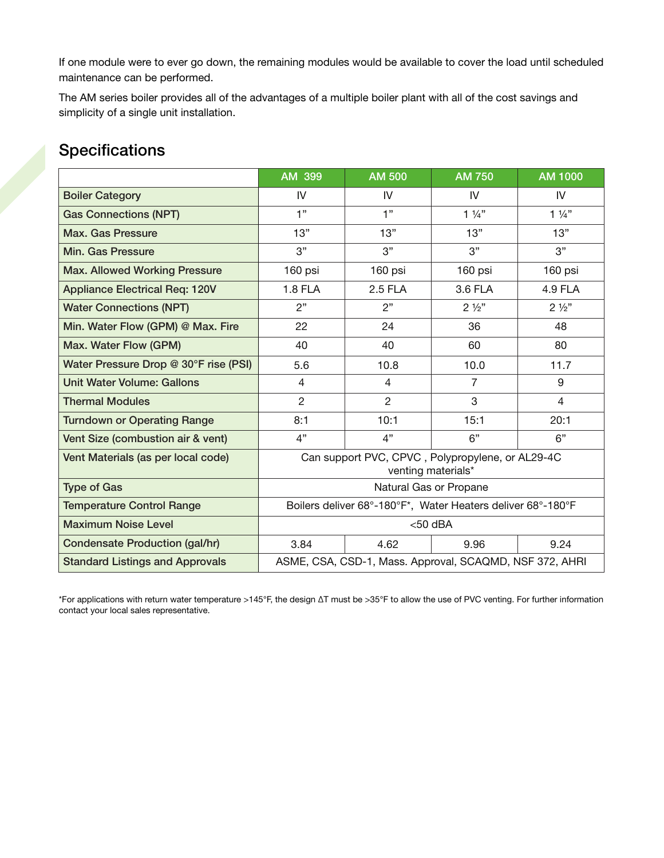If one module were to ever go down, the remaining modules would be available to cover the load until scheduled maintenance can be performed.

The AM series boiler provides all of the advantages of a multiple boiler plant with all of the cost savings and simplicity of a single unit installation.

### Specifications

|                                        | AM 399                                                                 | <b>AM 500</b>  | <b>AM 750</b>  | AM 1000        |  |  |
|----------------------------------------|------------------------------------------------------------------------|----------------|----------------|----------------|--|--|
| <b>Boiler Category</b>                 | IV                                                                     | IV             | IV             | IV             |  |  |
| <b>Gas Connections (NPT)</b>           | 1"                                                                     | 1"             | $1\frac{1}{4}$ | $1\frac{1}{4}$ |  |  |
| Max. Gas Pressure                      | 13"                                                                    | 13"            | 13"            | 13"            |  |  |
| <b>Min. Gas Pressure</b>               | 3"                                                                     | 3"             | 3"             | 3"             |  |  |
| <b>Max. Allowed Working Pressure</b>   | 160 psi                                                                | 160 psi        | 160 psi        | 160 psi        |  |  |
| <b>Appliance Electrical Req: 120V</b>  | 1.8 FLA                                                                | 2.5 FLA        | 3.6 FLA        | 4.9 FLA        |  |  |
| <b>Water Connections (NPT)</b>         | 2"                                                                     | 2"             | $2\frac{1}{2}$ | $2\frac{1}{2}$ |  |  |
| Min. Water Flow (GPM) @ Max. Fire      | 22                                                                     | 24             | 36             | 48             |  |  |
| Max. Water Flow (GPM)                  | 40                                                                     | 40             | 60             | 80             |  |  |
| Water Pressure Drop @ 30°F rise (PSI)  | 5.6                                                                    | 10.8           | 10.0           | 11.7           |  |  |
| <b>Unit Water Volume: Gallons</b>      | 4                                                                      | 4              | $\overline{7}$ | 9              |  |  |
| <b>Thermal Modules</b>                 | $\overline{2}$                                                         | $\overline{2}$ | 3              | 4              |  |  |
| <b>Turndown or Operating Range</b>     | 8:1                                                                    | 10:1           | 15:1           | 20:1           |  |  |
| Vent Size (combustion air & vent)      | 4"                                                                     | 4"             | 6"             | 6"             |  |  |
| Vent Materials (as per local code)     | Can support PVC, CPVC, Polypropylene, or AL29-4C<br>venting materials* |                |                |                |  |  |
| <b>Type of Gas</b>                     | Natural Gas or Propane                                                 |                |                |                |  |  |
| <b>Temperature Control Range</b>       | Boilers deliver 68°-180°F*, Water Heaters deliver 68°-180°F            |                |                |                |  |  |
| <b>Maximum Noise Level</b>             | $<$ 50 dBA                                                             |                |                |                |  |  |
| <b>Condensate Production (gal/hr)</b>  | 3.84                                                                   | 4.62           | 9.96           | 9.24           |  |  |
| <b>Standard Listings and Approvals</b> | ASME, CSA, CSD-1, Mass. Approval, SCAQMD, NSF 372, AHRI                |                |                |                |  |  |

\*For applications with return water temperature >145°F, the design ∆T must be >35°F to allow the use of PVC venting. For further information contact your local sales representative.